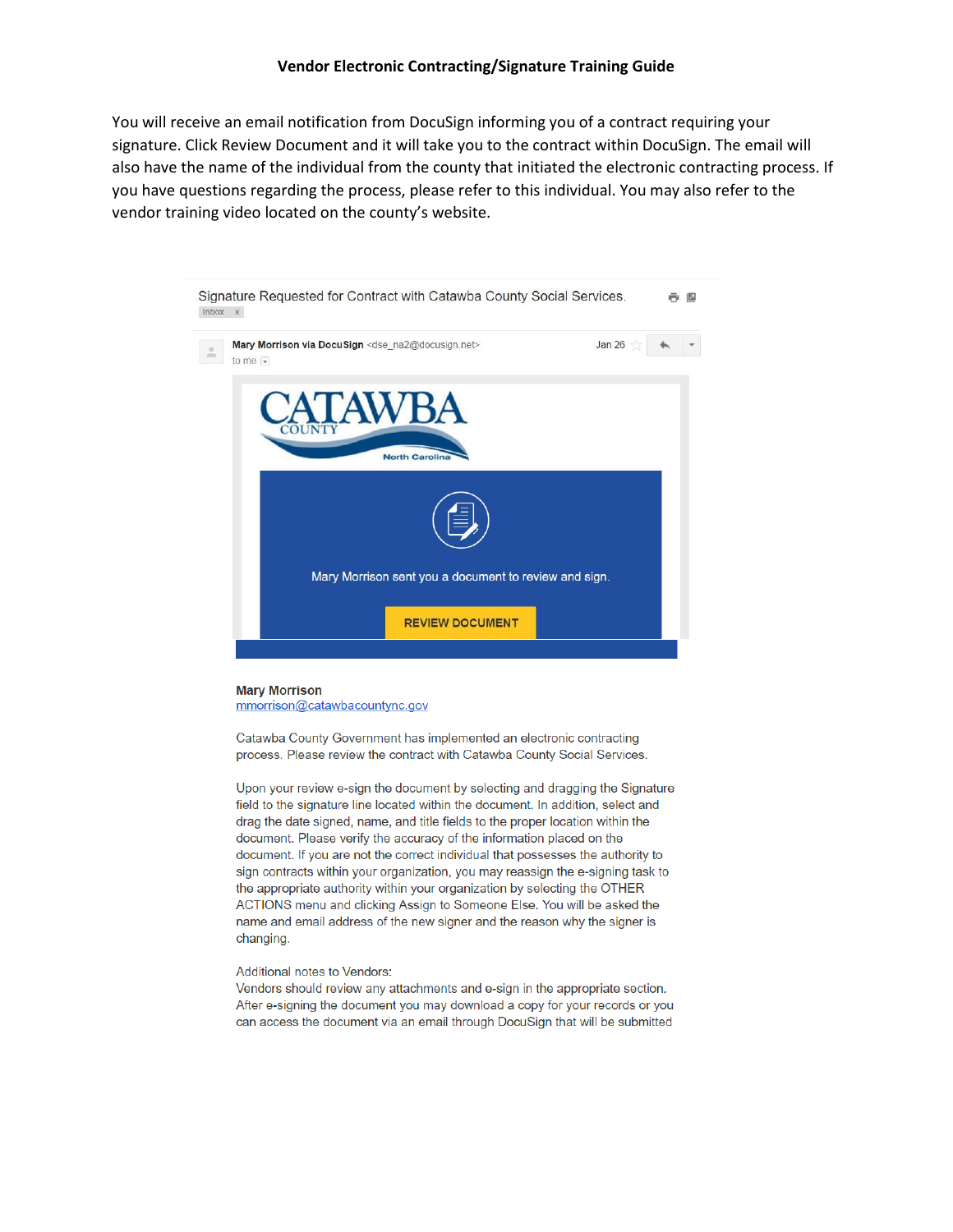#### **Vendor Electronic Contracting/Signature Training Guide**

You will receive an email notification from DocuSign informing you of a contract requiring your signature. Click Review Document and it will take you to the contract within DocuSign. The email will also have the name of the individual from the county that initiated the electronic contracting process. If you have questions regarding the process, please refer to this individual. You may also refer to the vendor training video located on the county's website.



#### **Mary Morrison** mmorrison@catawbacountync.gov

Catawba County Government has implemented an electronic contracting process. Please review the contract with Catawba County Social Services.

Upon your review e-sign the document by selecting and dragging the Signature field to the signature line located within the document. In addition, select and drag the date signed, name, and title fields to the proper location within the document. Please verify the accuracy of the information placed on the document. If you are not the correct individual that possesses the authority to sign contracts within your organization, you may reassign the e-signing task to the appropriate authority within your organization by selecting the OTHER ACTIONS menu and clicking Assign to Someone Else. You will be asked the name and email address of the new signer and the reason why the signer is changing.

#### Additional notes to Vendors:

Vendors should review any attachments and e-sign in the appropriate section. After e-signing the document you may download a copy for your records or you can access the document via an email through DocuSign that will be submitted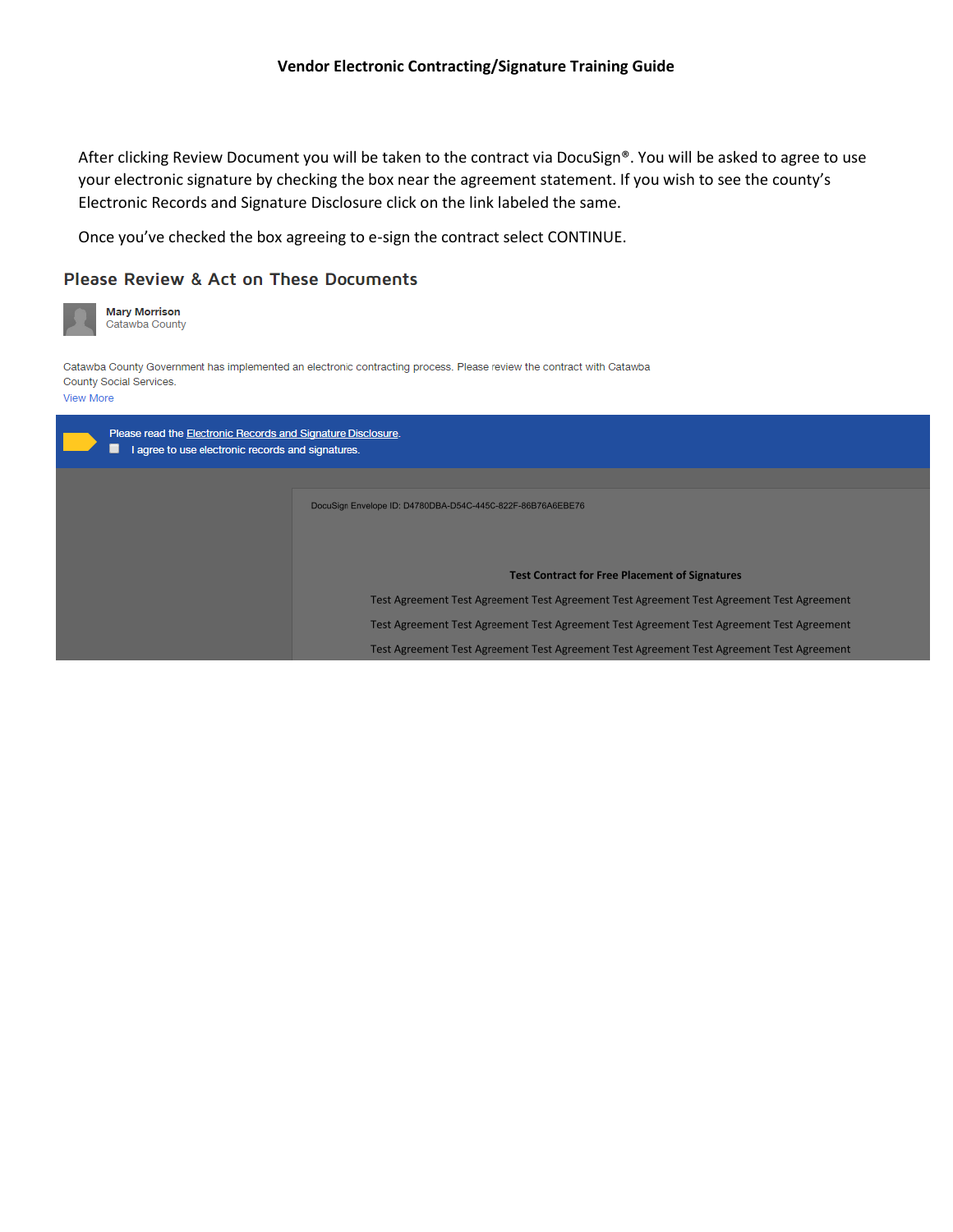After clicking Review Document you will be taken to the contract via DocuSign®. You will be asked to agree to use your electronic signature by checking the box near the agreement statement. If you wish to see the county's Electronic Records and Signature Disclosure click on the link labeled the same.

Once you've checked the box agreeing to e-sign the contract select CONTINUE.

## Please Review & Act on These Documents

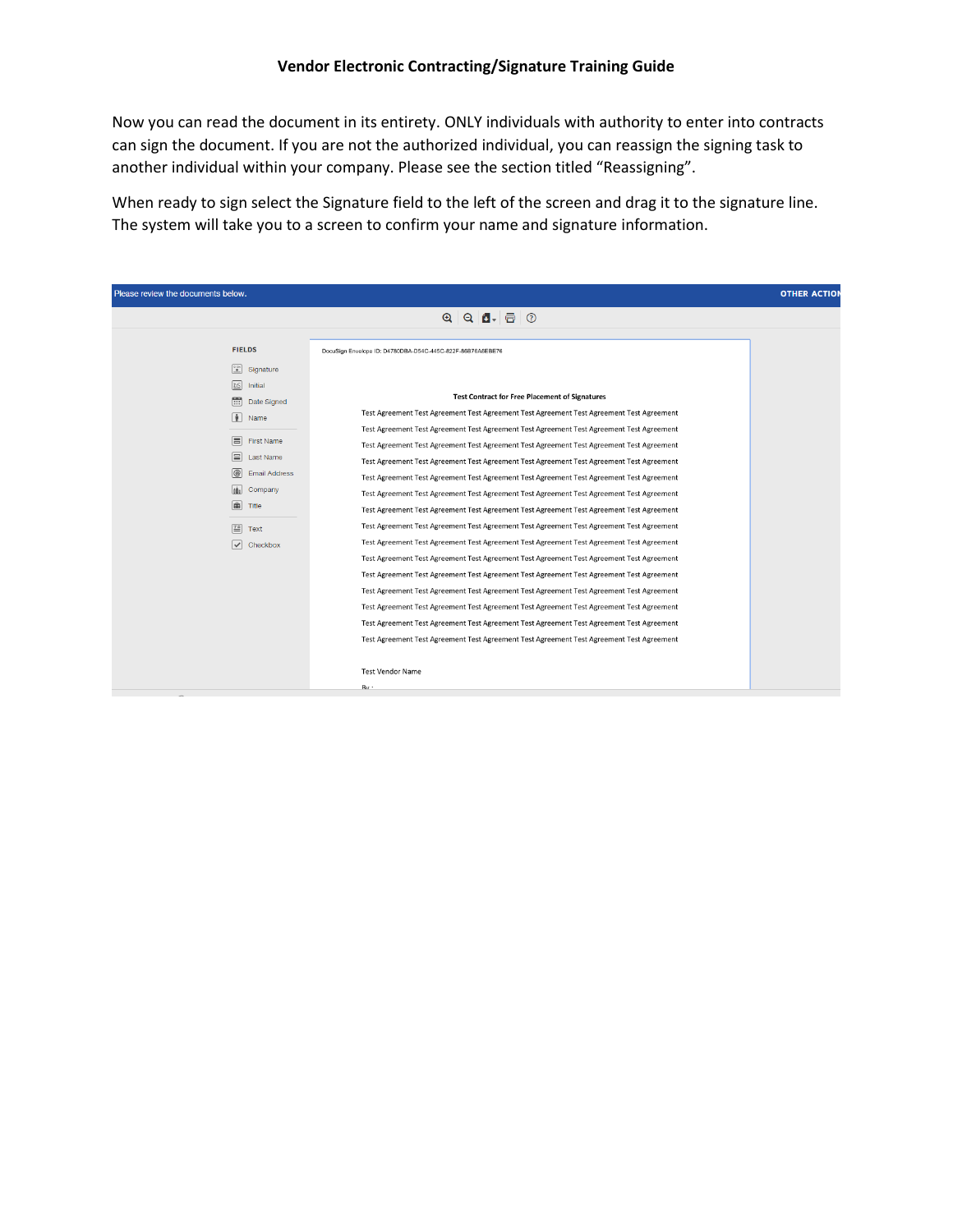Now you can read the document in its entirety. ONLY individuals with authority to enter into contracts can sign the document. If you are not the authorized individual, you can reassign the signing task to another individual within your company. Please see the section titled "Reassigning".

When ready to sign select the Signature field to the left of the screen and drag it to the signature line. The system will take you to a screen to confirm your name and signature information.

| Please review the documents below.<br><b>OTHER ACTION</b> |                                                                                           |  |  |
|-----------------------------------------------------------|-------------------------------------------------------------------------------------------|--|--|
|                                                           |                                                                                           |  |  |
|                                                           |                                                                                           |  |  |
| <b>FIELDS</b>                                             | DocuSign Envelope ID: D4780DBA-D54C-445C-822F-86B76A6EBE76                                |  |  |
| $\frac{1}{2}$<br>Signature                                |                                                                                           |  |  |
| DS<br>Initial                                             |                                                                                           |  |  |
| 言<br>Date Signed                                          | <b>Test Contract for Free Placement of Signatures</b>                                     |  |  |
| $\sqrt{2}$<br>Name                                        | Test Agreement Test Agreement Test Agreement Test Agreement Test Agreement Test Agreement |  |  |
|                                                           | Test Agreement Test Agreement Test Agreement Test Agreement Test Agreement Test Agreement |  |  |
| 同<br>First Name                                           | Test Agreement Test Agreement Test Agreement Test Agreement Test Agreement Test Agreement |  |  |
| 目<br><b>Last Name</b>                                     | Test Agreement Test Agreement Test Agreement Test Agreement Test Agreement Test Agreement |  |  |
| @<br><b>Email Address</b>                                 | Test Agreement Test Agreement Test Agreement Test Agreement Test Agreement Test Agreement |  |  |
| tân<br>Company                                            | Test Agreement Test Agreement Test Agreement Test Agreement Test Agreement Test Agreement |  |  |
| 画<br>Title                                                | Test Agreement Test Agreement Test Agreement Test Agreement Test Agreement Test Agreement |  |  |
| 圄<br>Text                                                 | Test Agreement Test Agreement Test Agreement Test Agreement Test Agreement Test Agreement |  |  |
| $\overline{\smile}$<br>Checkbox                           | Test Agreement Test Agreement Test Agreement Test Agreement Test Agreement Test Agreement |  |  |
|                                                           | Test Agreement Test Agreement Test Agreement Test Agreement Test Agreement Test Agreement |  |  |
|                                                           | Test Agreement Test Agreement Test Agreement Test Agreement Test Agreement Test Agreement |  |  |
|                                                           | Test Agreement Test Agreement Test Agreement Test Agreement Test Agreement Test Agreement |  |  |
|                                                           | Test Agreement Test Agreement Test Agreement Test Agreement Test Agreement Test Agreement |  |  |
|                                                           | Test Agreement Test Agreement Test Agreement Test Agreement Test Agreement Test Agreement |  |  |
|                                                           | Test Agreement Test Agreement Test Agreement Test Agreement Test Agreement Test Agreement |  |  |
|                                                           |                                                                                           |  |  |
|                                                           | <b>Test Vendor Name</b>                                                                   |  |  |
|                                                           | Rv ·                                                                                      |  |  |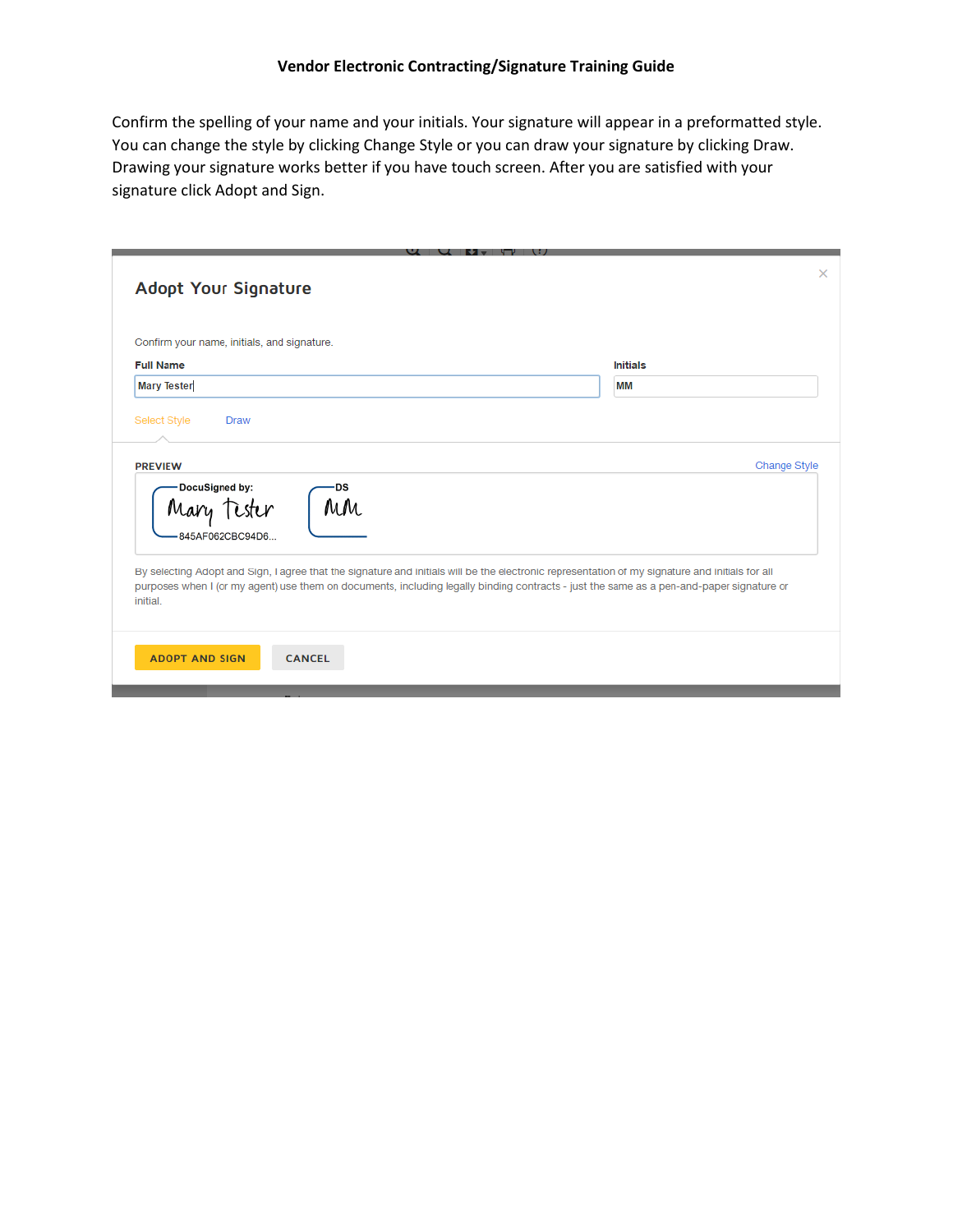Confirm the spelling of your name and your initials. Your signature will appear in a preformatted style. You can change the style by clicking Change Style or you can draw your signature by clicking Draw. Drawing your signature works better if you have touch screen. After you are satisfied with your signature click Adopt and Sign.

| Confirm your name, initials, and signature.                                                                                                                                                                                                                                                             |                 |
|---------------------------------------------------------------------------------------------------------------------------------------------------------------------------------------------------------------------------------------------------------------------------------------------------------|-----------------|
| <b>Full Name</b>                                                                                                                                                                                                                                                                                        | <b>Initials</b> |
| <b>Mary Tester</b>                                                                                                                                                                                                                                                                                      | MM              |
| <b>PREVIEW</b><br>DocuSigned by:<br>DS<br>MM<br>Mary                                                                                                                                                                                                                                                    | Change Style    |
| 845AF062CBC94D6                                                                                                                                                                                                                                                                                         |                 |
| By selecting Adopt and Sign, I agree that the signature and initials will be the electronic representation of my signature and initials for all<br>purposes when I (or my agent) use them on documents, including legally binding contracts - just the same as a pen-and-paper signature or<br>initial. |                 |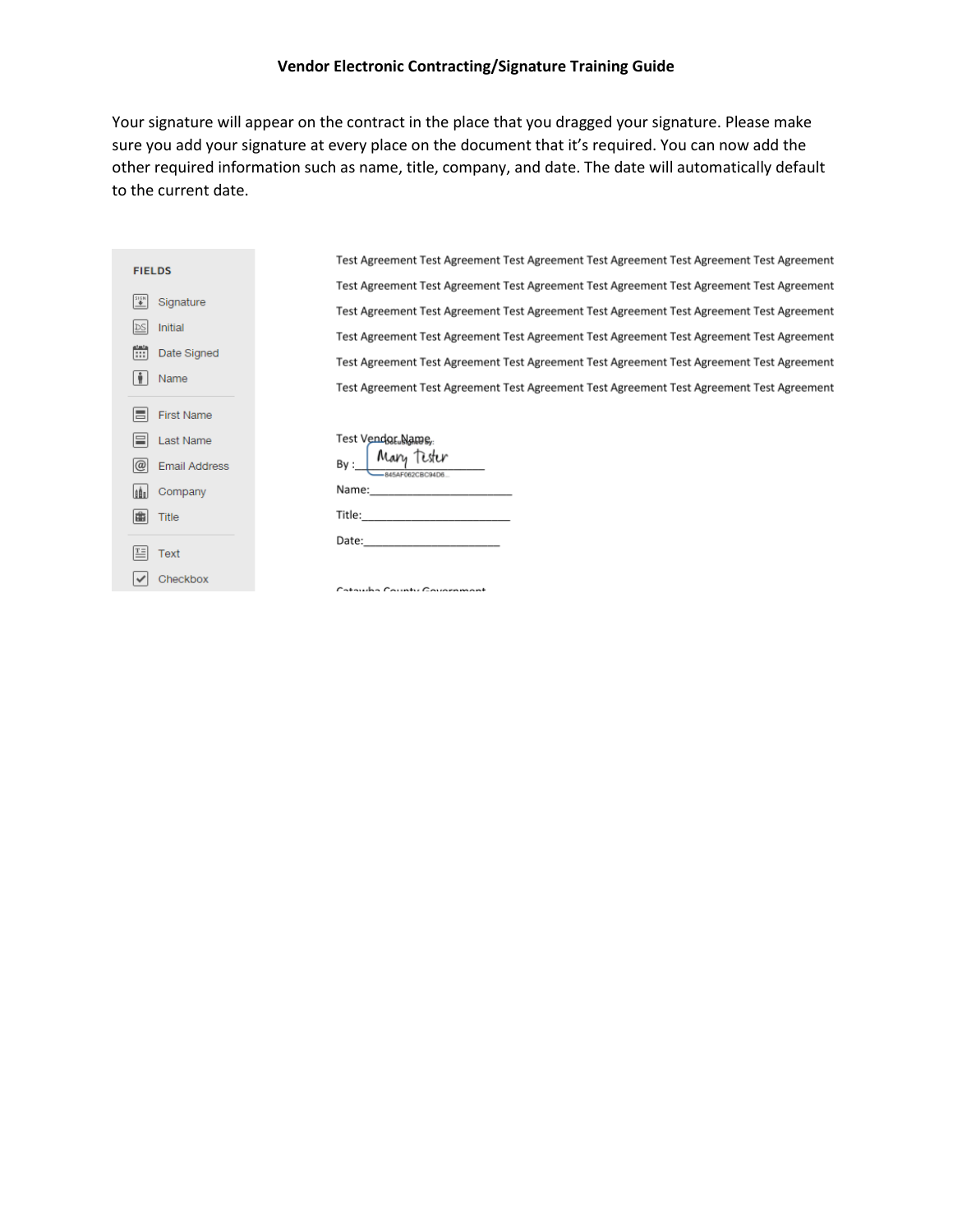### **Vendor Electronic Contracting/Signature Training Guide**

Your signature will appear on the contract in the place that you dragged your signature. Please make sure you add your signature at every place on the document that it's required. You can now add the other required information such as name, title, company, and date. The date will automatically default to the current date.

| <b>FIELDS</b> |                            |  |  |
|---------------|----------------------------|--|--|
| $rac{1}{2}$   | Signature                  |  |  |
|               | <b>DS</b> Initial          |  |  |
|               | [:::] Date Signed          |  |  |
|               | $ \frac{1}{2}\rangle$ Name |  |  |
|               |                            |  |  |
|               | <b>III</b> First Name      |  |  |
|               | <b>E</b> Last Name         |  |  |
|               | @ Email Address            |  |  |
|               | <b>Internal</b> Company    |  |  |
|               | <b>自</b> Title             |  |  |
|               |                            |  |  |
|               | $E =$ Text                 |  |  |
|               | Checkbox                   |  |  |
|               |                            |  |  |

Test Agreement Test Agreement Test Agreement Test Agreement Test Agreement Test Agreement Test Agreement Test Agreement Test Agreement Test Agreement Test Agreement Test Agreement Test Agreement Test Agreement Test Agreement Test Agreement Test Agreement Test Agreement Test Agreement Test Agreement Test Agreement Test Agreement Test Agreement Test Agreement Test Agreement Test Agreement Test Agreement Test Agreement Test Agreement Test Agreement Test Agreement Test Agreement Test Agreement Test Agreement Test Agreement Test Agreement

| Test Vendor Name,<br>By: Mary Tester<br>B45AF082CBC94D8 |  |
|---------------------------------------------------------|--|
| Name: _________________                                 |  |
|                                                         |  |
| Date: ________                                          |  |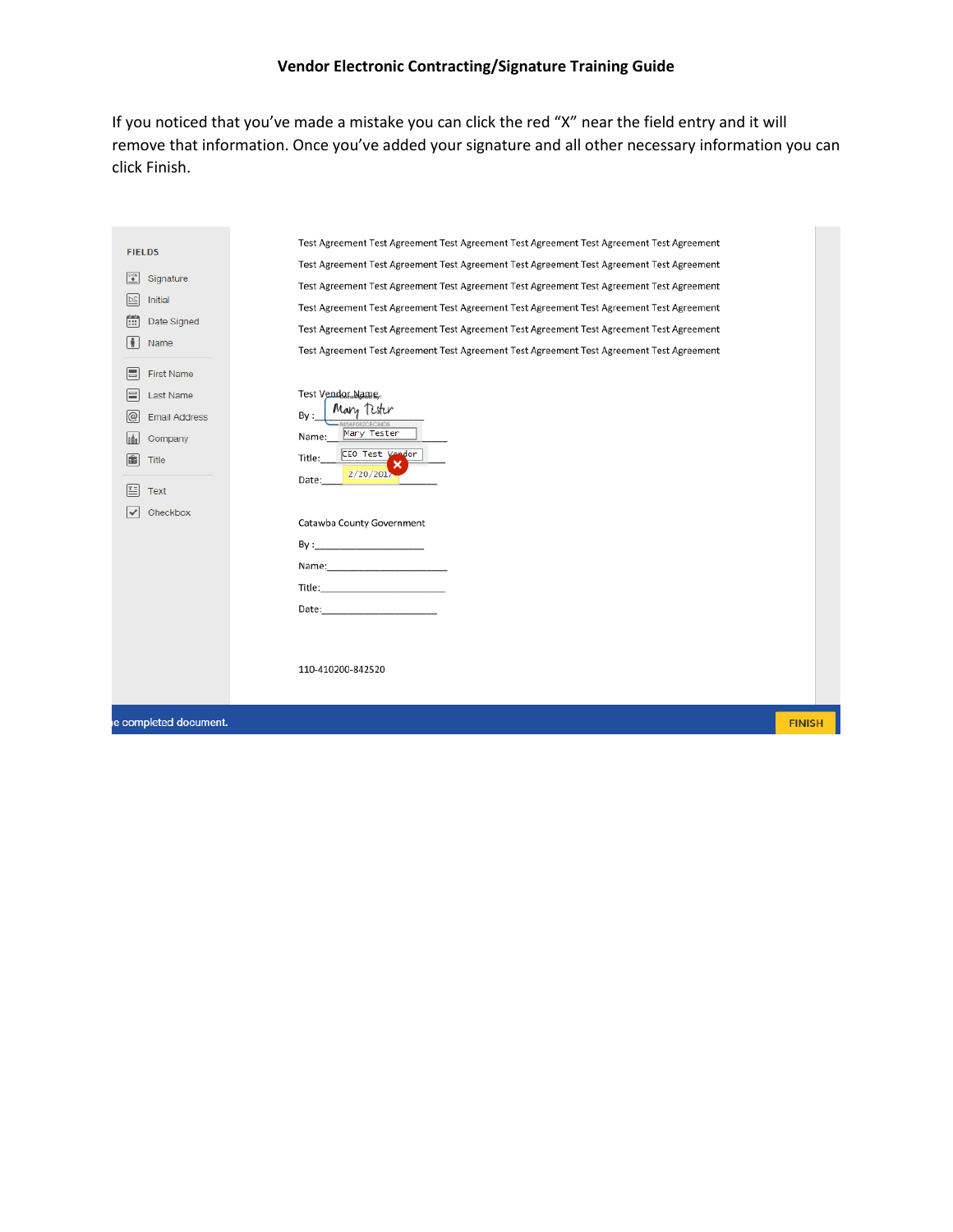# **Vendor Electronic Contracting/Signature Training Guide**

If you noticed that you've made a mistake you can click the red "X" near the field entry and it will remove that information. Once you've added your signature and all other necessary information you can click Finish.

| $rac{1}{10}$<br>Signature<br><b>DS</b><br>Initial<br>Ë<br>Date Signed<br>÷<br>Name                                                              | Test Agreement Test Agreement Test Agreement Test Agreement Test Agreement Test Agreement<br>Test Agreement Test Agreement Test Agreement Test Agreement Test Agreement Test Agreement<br>Test Agreement Test Agreement Test Agreement Test Agreement Test Agreement Test Agreement<br>Test Agreement Test Agreement Test Agreement Test Agreement Test Agreement Test Agreement<br>Test Agreement Test Agreement Test Agreement Test Agreement Test Agreement Test Agreement                                                                                                                                                          |               |
|-------------------------------------------------------------------------------------------------------------------------------------------------|----------------------------------------------------------------------------------------------------------------------------------------------------------------------------------------------------------------------------------------------------------------------------------------------------------------------------------------------------------------------------------------------------------------------------------------------------------------------------------------------------------------------------------------------------------------------------------------------------------------------------------------|---------------|
| E<br><b>First Name</b><br>⊫<br>Last Name<br>@<br><b>Email Address</b><br>leàs<br>Company<br>盾<br>Title<br>匞<br>Text<br>$\checkmark$<br>Checkbox | Test Vendor Name.<br>Mary Tester<br>By:<br>345AF062CBC94D6<br>Mary Tester<br>Name:<br>CEO Test Vendor<br>Title:<br>2/20/201<br>Date:<br>Catawba County Government<br>Name: Name and the state of the state of the state of the state of the state of the state of the state of the<br>Title: Title: The Commission of the Commission of the Commission of the Commission of the Commission of the Co<br>Date: the contract of the contract of the contract of the contract of the contract of the contract of the contract of the contract of the contract of the contract of the contract of the contract of the contract of the cont |               |
|                                                                                                                                                 | 110-410200-842520                                                                                                                                                                                                                                                                                                                                                                                                                                                                                                                                                                                                                      |               |
| e completed document.                                                                                                                           |                                                                                                                                                                                                                                                                                                                                                                                                                                                                                                                                                                                                                                        | <b>FINISH</b> |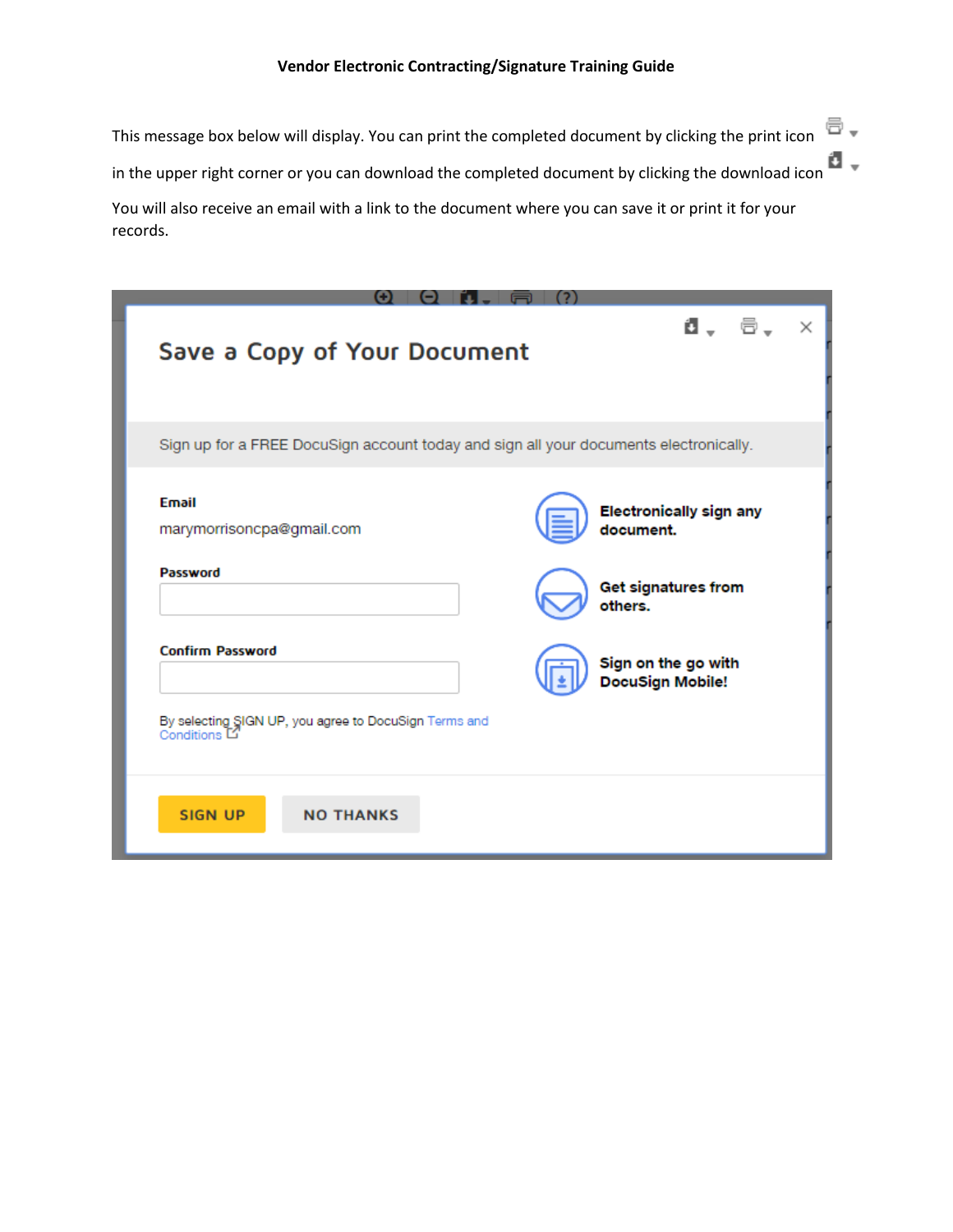This message box below will display. You can print the completed document by clicking the print icon  $\Box$ . in the upper right corner or you can download the completed document by clicking the download icon You will also receive an email with a link to the document where you can save it or print it for your records.

| Save a Copy of Your Document                                                          | d, e,<br>×                                     |
|---------------------------------------------------------------------------------------|------------------------------------------------|
| Sign up for a FREE DocuSign account today and sign all your documents electronically. |                                                |
| <b>Email</b><br>marymorrisoncpa@gmail.com                                             | <b>Electronically sign any</b><br>document.    |
| Password                                                                              | Get signatures from<br>others.                 |
| <b>Confirm Password</b>                                                               | Sign on the go with<br><b>DocuSign Mobile!</b> |
| By selecting SIGN UP, you agree to DocuSign Terms and<br>Conditions <sup>[C]</sup>    |                                                |
| <b>SIGN UP</b><br><b>NO THANKS</b>                                                    |                                                |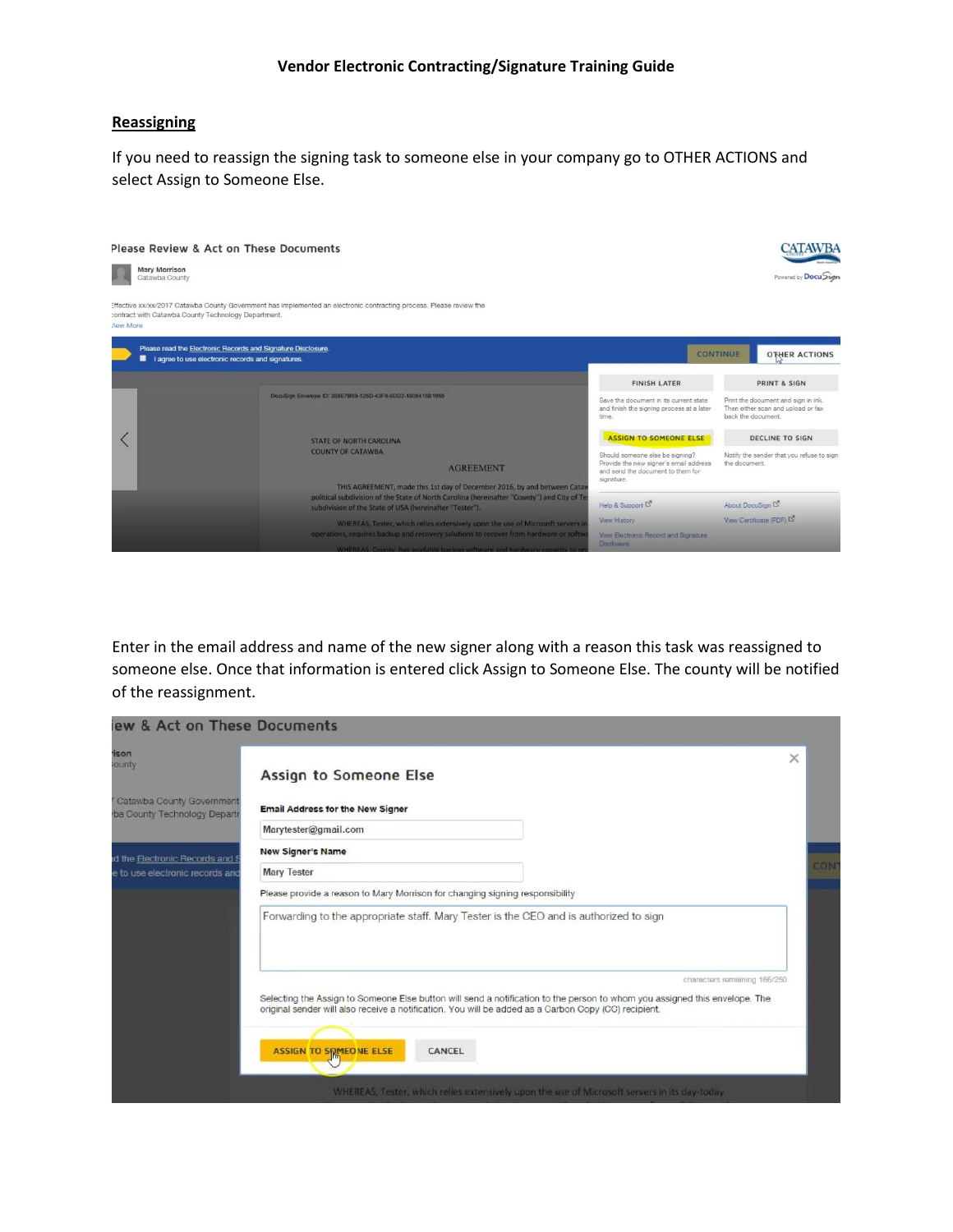#### **Reassigning**

If you need to reassign the signing task to someone else in your company go to OTHER ACTIONS and select Assign to Someone Else.



Enter in the email address and name of the new signer along with a reason this task was reassigned to someone else. Once that information is entered click Assign to Someone Else. The county will be notified of the reassignment.

| ew & Act on These Documents                                            |                                                                                                                                                                                                                                    |          |     |
|------------------------------------------------------------------------|------------------------------------------------------------------------------------------------------------------------------------------------------------------------------------------------------------------------------------|----------|-----|
| <b>ison</b><br>ounty                                                   | Assign to Someone Else                                                                                                                                                                                                             | $\times$ |     |
| <sup>7</sup> Catawba County Government<br>ba County Technology Departr | <b>Email Address for the New Signer</b>                                                                                                                                                                                            |          |     |
|                                                                        | Marytester@gmail.com                                                                                                                                                                                                               |          |     |
| d the Electronic Records and S                                         | <b>New Signer's Name</b>                                                                                                                                                                                                           |          |     |
| e to use electronic records and                                        | <b>Mary Tester</b>                                                                                                                                                                                                                 |          | CON |
|                                                                        | Please provide a reason to Mary Morrison for changing signing responsibility                                                                                                                                                       |          |     |
|                                                                        | Forwarding to the appropriate staff. Mary Tester is the CEO and is authorized to sign                                                                                                                                              |          |     |
|                                                                        | characters remaining 166/250                                                                                                                                                                                                       |          |     |
|                                                                        | Selecting the Assign to Someone Else button will send a notification to the person to whom you assigned this envelope. The<br>original sender will also receive a notification. You will be added as a Carbon Copy (CC) recipient. |          |     |
|                                                                        | ASSIGN TO SOMEONE ELSE<br>CANCEL                                                                                                                                                                                                   |          |     |
|                                                                        | WHEREAS, Tester, which relies extensively upon the use of Microsoft servers in its day-today                                                                                                                                       |          |     |